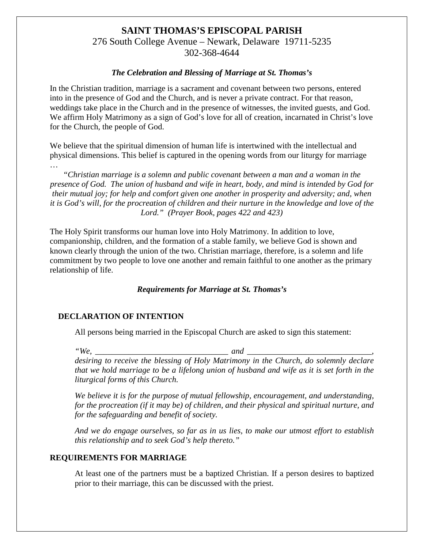# **SAINT THOMAS'S EPISCOPAL PARISH** 276 South College Avenue – Newark, Delaware 19711-5235 302-368-4644

### *The Celebration and Blessing of Marriage at St. Thomas's*

In the Christian tradition, marriage is a sacrament and covenant between two persons, entered into in the presence of God and the Church, and is never a private contract. For that reason, weddings take place in the Church and in the presence of witnesses, the invited guests, and God. We affirm Holy Matrimony as a sign of God's love for all of creation, incarnated in Christ's love for the Church, the people of God.

We believe that the spiritual dimension of human life is intertwined with the intellectual and physical dimensions. This belief is captured in the opening words from our liturgy for marriage

…

*"Christian marriage is a solemn and public covenant between a man and a woman in the presence of God. The union of husband and wife in heart, body, and mind is intended by God for their mutual joy; for help and comfort given one another in prosperity and adversity; and, when it is God's will, for the procreation of children and their nurture in the knowledge and love of the Lord." (Prayer Book, pages 422 and 423)*

The Holy Spirit transforms our human love into Holy Matrimony. In addition to love, companionship, children, and the formation of a stable family, we believe God is shown and known clearly through the union of the two. Christian marriage, therefore, is a solemn and life commitment by two people to love one another and remain faithful to one another as the primary relationship of life.

# *Requirements for Marriage at St. Thomas's*

#### **DECLARATION OF INTENTION**

All persons being married in the Episcopal Church are asked to sign this statement:

*"We, \_\_\_\_\_\_\_\_\_\_\_\_\_\_\_\_\_\_\_\_\_\_\_\_\_\_\_\_\_\_\_\_ and \_\_\_\_\_\_\_\_\_\_\_\_\_\_\_\_\_\_\_\_\_\_\_\_\_\_\_\_\_\_,* 

*desiring to receive the blessing of Holy Matrimony in the Church, do solemnly declare that we hold marriage to be a lifelong union of husband and wife as it is set forth in the liturgical forms of this Church.*

*We believe it is for the purpose of mutual fellowship, encouragement, and understanding, for the procreation (if it may be) of children, and their physical and spiritual nurture, and for the safeguarding and benefit of society.*

*And we do engage ourselves, so far as in us lies, to make our utmost effort to establish this relationship and to seek God's help thereto."*

# **REQUIREMENTS FOR MARRIAGE**

At least one of the partners must be a baptized Christian. If a person desires to baptized prior to their marriage, this can be discussed with the priest.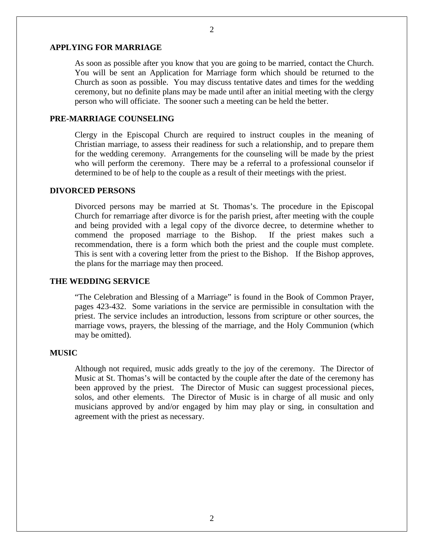# **APPLYING FOR MARRIAGE**

As soon as possible after you know that you are going to be married, contact the Church. You will be sent an Application for Marriage form which should be returned to the Church as soon as possible. You may discuss tentative dates and times for the wedding ceremony, but no definite plans may be made until after an initial meeting with the clergy person who will officiate. The sooner such a meeting can be held the better.

### **PRE-MARRIAGE COUNSELING**

Clergy in the Episcopal Church are required to instruct couples in the meaning of Christian marriage, to assess their readiness for such a relationship, and to prepare them for the wedding ceremony. Arrangements for the counseling will be made by the priest who will perform the ceremony. There may be a referral to a professional counselor if determined to be of help to the couple as a result of their meetings with the priest.

#### **DIVORCED PERSONS**

Divorced persons may be married at St. Thomas's. The procedure in the Episcopal Church for remarriage after divorce is for the parish priest, after meeting with the couple and being provided with a legal copy of the divorce decree, to determine whether to commend the proposed marriage to the Bishop. If the priest makes such a recommendation, there is a form which both the priest and the couple must complete. This is sent with a covering letter from the priest to the Bishop. If the Bishop approves, the plans for the marriage may then proceed.

#### **THE WEDDING SERVICE**

"The Celebration and Blessing of a Marriage" is found in the Book of Common Prayer, pages 423-432. Some variations in the service are permissible in consultation with the priest. The service includes an introduction, lessons from scripture or other sources, the marriage vows, prayers, the blessing of the marriage, and the Holy Communion (which may be omitted).

#### **MUSIC**

Although not required, music adds greatly to the joy of the ceremony. The Director of Music at St. Thomas's will be contacted by the couple after the date of the ceremony has been approved by the priest. The Director of Music can suggest processional pieces, solos, and other elements. The Director of Music is in charge of all music and only musicians approved by and/or engaged by him may play or sing, in consultation and agreement with the priest as necessary.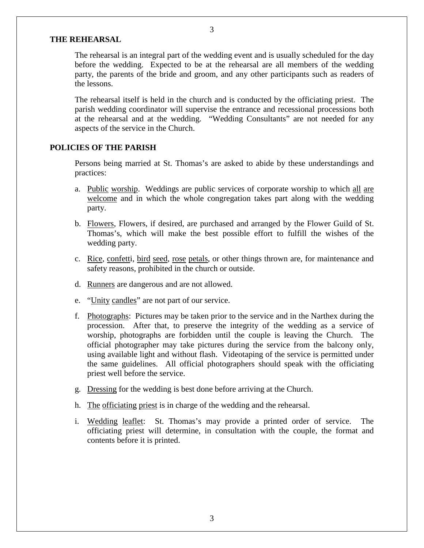## **THE REHEARSAL**

The rehearsal is an integral part of the wedding event and is usually scheduled for the day before the wedding. Expected to be at the rehearsal are all members of the wedding party, the parents of the bride and groom, and any other participants such as readers of the lessons.

The rehearsal itself is held in the church and is conducted by the officiating priest. The parish wedding coordinator will supervise the entrance and recessional processions both at the rehearsal and at the wedding. "Wedding Consultants" are not needed for any aspects of the service in the Church.

## **POLICIES OF THE PARISH**

Persons being married at St. Thomas's are asked to abide by these understandings and practices:

- a. Public worship. Weddings are public services of corporate worship to which all are welcome and in which the whole congregation takes part along with the wedding party.
- b. Flowers, Flowers, if desired, are purchased and arranged by the Flower Guild of St. Thomas's, which will make the best possible effort to fulfill the wishes of the wedding party.
- c. Rice, confetti, bird seed, rose petals, or other things thrown are, for maintenance and safety reasons, prohibited in the church or outside.
- d. Runners are dangerous and are not allowed.
- e. "Unity candles" are not part of our service.
- f. Photographs: Pictures may be taken prior to the service and in the Narthex during the procession. After that, to preserve the integrity of the wedding as a service of worship, photographs are forbidden until the couple is leaving the Church. The official photographer may take pictures during the service from the balcony only, using available light and without flash. Videotaping of the service is permitted under the same guidelines. All official photographers should speak with the officiating priest well before the service.
- g. Dressing for the wedding is best done before arriving at the Church.
- h. The officiating priest is in charge of the wedding and the rehearsal.
- i. Wedding leaflet: St. Thomas's may provide a printed order of service. The officiating priest will determine, in consultation with the couple, the format and contents before it is printed.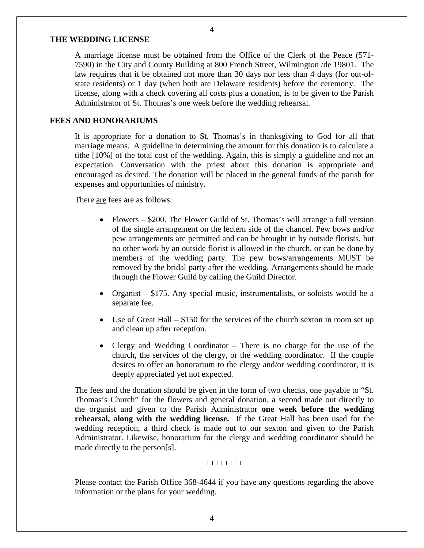# **THE WEDDING LICENSE**

A marriage license must be obtained from the Office of the Clerk of the Peace (571- 7590) in the City and County Building at 800 French Street, Wilmington /de 19801. The law requires that it be obtained not more than 30 days nor less than 4 days (for out-ofstate residents) or 1 day (when both are Delaware residents) before the ceremony. The license, along with a check covering all costs plus a donation, is to be given to the Parish Administrator of St. Thomas's one week before the wedding rehearsal.

#### **FEES AND HONORARIUMS**

It is appropriate for a donation to St. Thomas's in thanksgiving to God for all that marriage means. A guideline in determining the amount for this donation is to calculate a tithe [10%] of the total cost of the wedding. Again, this is simply a guideline and not an expectation. Conversation with the priest about this donation is appropriate and encouraged as desired. The donation will be placed in the general funds of the parish for expenses and opportunities of ministry.

There are fees are as follows:

- Flowers \$200. The Flower Guild of St. Thomas's will arrange a full version of the single arrangement on the lectern side of the chancel. Pew bows and/or pew arrangements are permitted and can be brought in by outside florists, but no other work by an outside florist is allowed in the church, or can be done by members of the wedding party. The pew bows/arrangements MUST be removed by the bridal party after the wedding. Arrangements should be made through the Flower Guild by calling the Guild Director.
- Organist \$175. Any special music, instrumentalists, or soloists would be a separate fee.
- Use of Great Hall \$150 for the services of the church sexton in room set up and clean up after reception.
- Clergy and Wedding Coordinator There is no charge for the use of the church, the services of the clergy, or the wedding coordinator. If the couple desires to offer an honorarium to the clergy and/or wedding coordinator, it is deeply appreciated yet not expected.

The fees and the donation should be given in the form of two checks, one payable to "St. Thomas's Church" for the flowers and general donation, a second made out directly to the organist and given to the Parish Administrator **one week before the wedding rehearsal, along with the wedding license.** If the Great Hall has been used for the wedding reception, a third check is made out to our sexton and given to the Parish Administrator. Likewise, honorarium for the clergy and wedding coordinator should be made directly to the person[s].

++++++++

Please contact the Parish Office 368-4644 if you have any questions regarding the above information or the plans for your wedding.

4